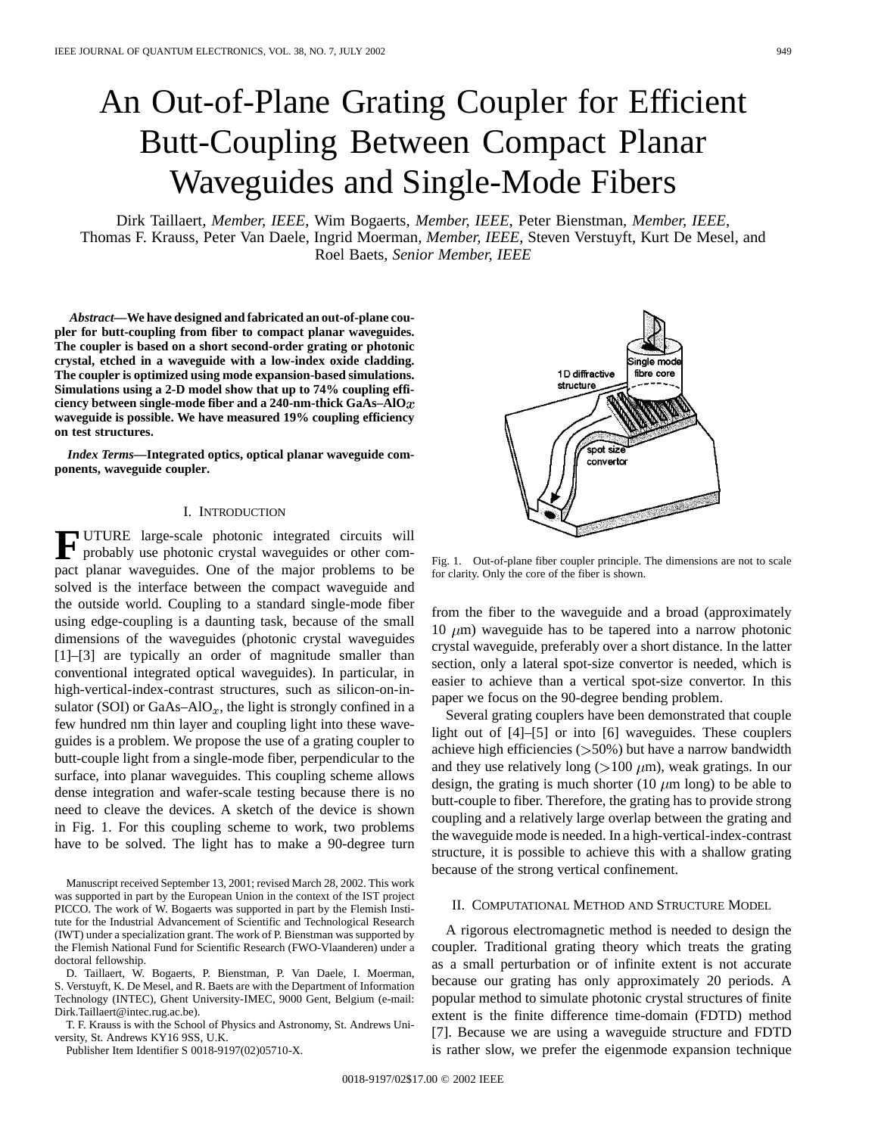# An Out-of-Plane Grating Coupler for Efficient Butt-Coupling Between Compact Planar Waveguides and Single-Mode Fibers

Dirk Taillaert*, Member, IEEE*, Wim Bogaerts*, Member, IEEE*, Peter Bienstman*, Member, IEEE*, Thomas F. Krauss, Peter Van Daele, Ingrid Moerman*, Member, IEEE*, Steven Verstuyft, Kurt De Mesel, and Roel Baets*, Senior Member, IEEE*

*Abstract—***We have designed and fabricated an out-of-plane coupler for butt-coupling from fiber to compact planar waveguides. The coupler is based on a short second-order grating or photonic crystal, etched in a waveguide with a low-index oxide cladding. The coupler is optimized using mode expansion-based simulations. Simulations using a 2-D model show that up to 74% coupling efficiency between single-mode fiber and a 240-nm-thick GaAs–AlO waveguide is possible. We have measured 19% coupling efficiency on test structures.**

*Index Terms—***Integrated optics, optical planar waveguide components, waveguide coupler.**

## I. INTRODUCTION

**F** UTURE large-scale photonic integrated circuits will probably use photonic crystal waveguides or other compact planar waveguides. One of the major problems to be solved is the interface between the compact waveguide and the outside world. Coupling to a standard single-mode fiber using edge-coupling is a daunting task, because of the small dimensions of the waveguides (photonic crystal waveguides [1]–[3] are typically an order of magnitude smaller than conventional integrated optical waveguides). In particular, in high-vertical-index-contrast structures, such as silicon-on-insulator (SOI) or  $GaAs-AIO_x$ , the light is strongly confined in a few hundred nm thin layer and coupling light into these waveguides is a problem. We propose the use of a grating coupler to butt-couple light from a single-mode fiber, perpendicular to the surface, into planar waveguides. This coupling scheme allows dense integration and wafer-scale testing because there is no need to cleave the devices. A sketch of the device is shown in Fig. 1. For this coupling scheme to work, two problems have to be solved. The light has to make a 90-degree turn

Manuscript received September 13, 2001; revised March 28, 2002. This work was supported in part by the European Union in the context of the IST project PICCO. The work of W. Bogaerts was supported in part by the Flemish Institute for the Industrial Advancement of Scientific and Technological Research (IWT) under a specialization grant. The work of P. Bienstman was supported by the Flemish National Fund for Scientific Research (FWO-Vlaanderen) under a doctoral fellowship.

D. Taillaert, W. Bogaerts, P. Bienstman, P. Van Daele, I. Moerman, S. Verstuyft, K. De Mesel, and R. Baets are with the Department of Information Technology (INTEC), Ghent University-IMEC, 9000 Gent, Belgium (e-mail: Dirk.Taillaert@intec.rug.ac.be).

T. F. Krauss is with the School of Physics and Astronomy, St. Andrews University, St. Andrews KY16 9SS, U.K.

Publisher Item Identifier S 0018-9197(02)05710-X.

ale mo 1D diffractive fibre core structure spot siz convertor

Fig. 1. Out-of-plane fiber coupler principle. The dimensions are not to scale for clarity. Only the core of the fiber is shown.

from the fiber to the waveguide and a broad (approximately 10  $\mu$ m) waveguide has to be tapered into a narrow photonic crystal waveguide, preferably over a short distance. In the latter section, only a lateral spot-size convertor is needed, which is easier to achieve than a vertical spot-size convertor. In this paper we focus on the 90-degree bending problem.

Several grating couplers have been demonstrated that couple light out of [4]–[5] or into [6] waveguides. These couplers achieve high efficiencies  $($ >50%) but have a narrow bandwidth and they use relatively long ( $>100 \mu m$ ), weak gratings. In our design, the grating is much shorter (10  $\mu$ m long) to be able to butt-couple to fiber. Therefore, the grating has to provide strong coupling and a relatively large overlap between the grating and the waveguide mode is needed. In a high-vertical-index-contrast structure, it is possible to achieve this with a shallow grating because of the strong vertical confinement.

#### II. COMPUTATIONAL METHOD AND STRUCTURE MODEL

A rigorous electromagnetic method is needed to design the coupler. Traditional grating theory which treats the grating as a small perturbation or of infinite extent is not accurate because our grating has only approximately 20 periods. A popular method to simulate photonic crystal structures of finite extent is the finite difference time-domain (FDTD) method [7]. Because we are using a waveguide structure and FDTD is rather slow, we prefer the eigenmode expansion technique

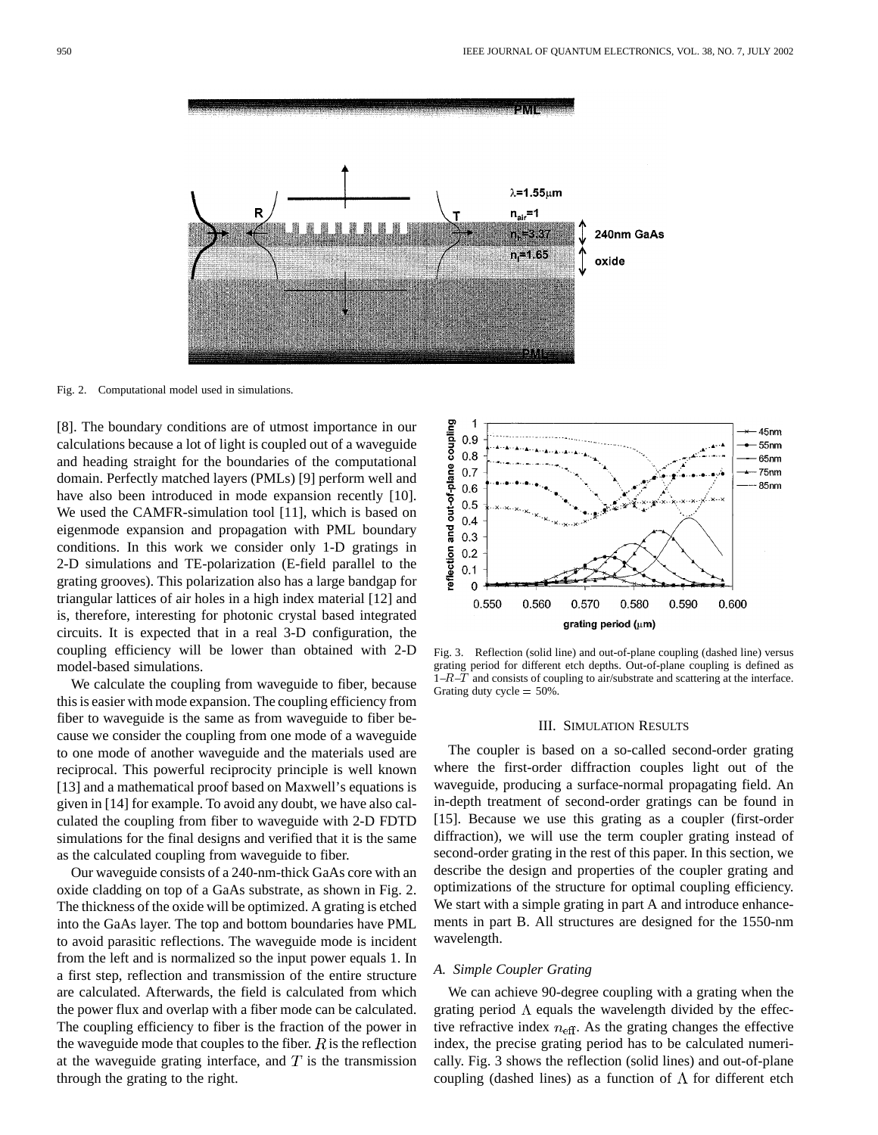

Fig. 2. Computational model used in simulations.

[8]. The boundary conditions are of utmost importance in our calculations because a lot of light is coupled out of a waveguide and heading straight for the boundaries of the computational domain. Perfectly matched layers (PMLs) [9] perform well and have also been introduced in mode expansion recently [10]. We used the CAMFR-simulation tool [11], which is based on eigenmode expansion and propagation with PML boundary conditions. In this work we consider only 1-D gratings in 2-D simulations and TE-polarization (E-field parallel to the grating grooves). This polarization also has a large bandgap for triangular lattices of air holes in a high index material [12] and is, therefore, interesting for photonic crystal based integrated circuits. It is expected that in a real 3-D configuration, the coupling efficiency will be lower than obtained with 2-D model-based simulations.

We calculate the coupling from waveguide to fiber, because this is easier with mode expansion. The coupling efficiency from fiber to waveguide is the same as from waveguide to fiber because we consider the coupling from one mode of a waveguide to one mode of another waveguide and the materials used are reciprocal. This powerful reciprocity principle is well known [13] and a mathematical proof based on Maxwell's equations is given in [14] for example. To avoid any doubt, we have also calculated the coupling from fiber to waveguide with 2-D FDTD simulations for the final designs and verified that it is the same as the calculated coupling from waveguide to fiber.

Our waveguide consists of a 240-nm-thick GaAs core with an oxide cladding on top of a GaAs substrate, as shown in Fig. 2. The thickness of the oxide will be optimized. A grating is etched into the GaAs layer. The top and bottom boundaries have PML to avoid parasitic reflections. The waveguide mode is incident from the left and is normalized so the input power equals 1. In a first step, reflection and transmission of the entire structure are calculated. Afterwards, the field is calculated from which the power flux and overlap with a fiber mode can be calculated. The coupling efficiency to fiber is the fraction of the power in the waveguide mode that couples to the fiber.  $R$  is the reflection at the waveguide grating interface, and  $T$  is the transmission through the grating to the right.



Fig. 3. Reflection (solid line) and out-of-plane coupling (dashed line) versus grating period for different etch depths. Out-of-plane coupling is defined as  $1-R-T$  and consists of coupling to air/substrate and scattering at the interface. Grating duty cycle  $= 50\%$ .

## III. SIMULATION RESULTS

The coupler is based on a so-called second-order grating where the first-order diffraction couples light out of the waveguide, producing a surface-normal propagating field. An in-depth treatment of second-order gratings can be found in [15]. Because we use this grating as a coupler (first-order diffraction), we will use the term coupler grating instead of second-order grating in the rest of this paper. In this section, we describe the design and properties of the coupler grating and optimizations of the structure for optimal coupling efficiency. We start with a simple grating in part A and introduce enhancements in part B. All structures are designed for the 1550-nm wavelength.

#### *A. Simple Coupler Grating*

We can achieve 90-degree coupling with a grating when the grating period  $\Lambda$  equals the wavelength divided by the effective refractive index  $n_{\text{eff}}$ . As the grating changes the effective index, the precise grating period has to be calculated numerically. Fig. 3 shows the reflection (solid lines) and out-of-plane coupling (dashed lines) as a function of  $\Lambda$  for different etch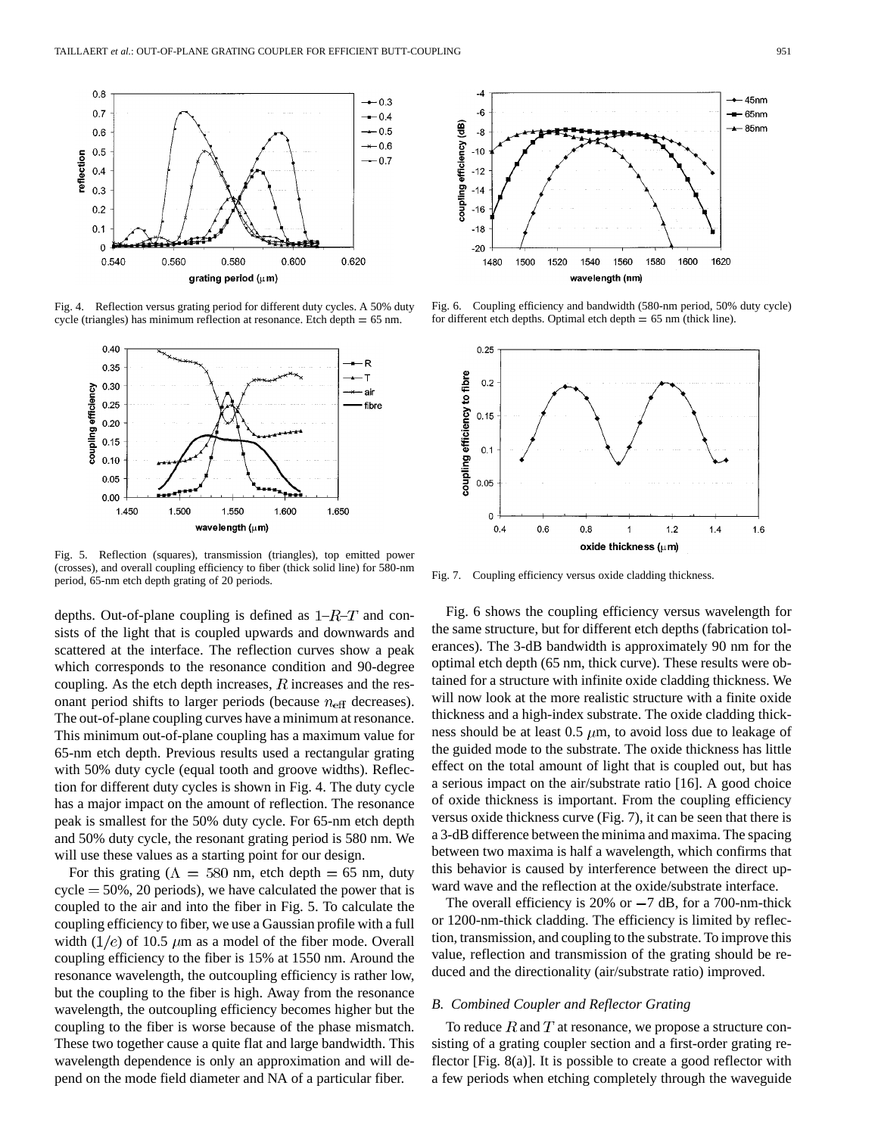

Fig. 4. Reflection versus grating period for different duty cycles. A 50% duty cycle (triangles) has minimum reflection at resonance. Etch depth  $= 65$  nm.



Fig. 5. Reflection (squares), transmission (triangles), top emitted power (crosses), and overall coupling efficiency to fiber (thick solid line) for 580-nm period, 65-nm etch depth grating of 20 periods.

depths. Out-of-plane coupling is defined as  $1-R-T$  and consists of the light that is coupled upwards and downwards and scattered at the interface. The reflection curves show a peak which corresponds to the resonance condition and 90-degree coupling. As the etch depth increases,  $R$  increases and the resonant period shifts to larger periods (because  $n_{\text{eff}}$  decreases). The out-of-plane coupling curves have a minimum at resonance. This minimum out-of-plane coupling has a maximum value for 65-nm etch depth. Previous results used a rectangular grating with 50% duty cycle (equal tooth and groove widths). Reflection for different duty cycles is shown in Fig. 4. The duty cycle has a major impact on the amount of reflection. The resonance peak is smallest for the 50% duty cycle. For 65-nm etch depth and 50% duty cycle, the resonant grating period is 580 nm. We will use these values as a starting point for our design.

For this grating ( $\Lambda = 580$  nm, etch depth = 65 nm, duty  $cycle = 50\%$ , 20 periods), we have calculated the power that is coupled to the air and into the fiber in Fig. 5. To calculate the coupling efficiency to fiber, we use a Gaussian profile with a full width  $(1/e)$  of 10.5  $\mu$ m as a model of the fiber mode. Overall coupling efficiency to the fiber is 15% at 1550 nm. Around the resonance wavelength, the outcoupling efficiency is rather low, but the coupling to the fiber is high. Away from the resonance wavelength, the outcoupling efficiency becomes higher but the coupling to the fiber is worse because of the phase mismatch. These two together cause a quite flat and large bandwidth. This wavelength dependence is only an approximation and will depend on the mode field diameter and NA of a particular fiber.



Fig. 6. Coupling efficiency and bandwidth (580-nm period, 50% duty cycle) for different etch depths. Optimal etch depth  $= 65$  nm (thick line).



Fig. 7. Coupling efficiency versus oxide cladding thickness.

Fig. 6 shows the coupling efficiency versus wavelength for the same structure, but for different etch depths (fabrication tolerances). The 3-dB bandwidth is approximately 90 nm for the optimal etch depth (65 nm, thick curve). These results were obtained for a structure with infinite oxide cladding thickness. We will now look at the more realistic structure with a finite oxide thickness and a high-index substrate. The oxide cladding thickness should be at least 0.5  $\mu$ m, to avoid loss due to leakage of the guided mode to the substrate. The oxide thickness has little effect on the total amount of light that is coupled out, but has a serious impact on the air/substrate ratio [16]. A good choice of oxide thickness is important. From the coupling efficiency versus oxide thickness curve (Fig. 7), it can be seen that there is a 3-dB difference between the minima and maxima. The spacing between two maxima is half a wavelength, which confirms that this behavior is caused by interference between the direct upward wave and the reflection at the oxide/substrate interface.

The overall efficiency is 20% or  $-7$  dB, for a 700-nm-thick or 1200-nm-thick cladding. The efficiency is limited by reflection, transmission, and coupling to the substrate. To improve this value, reflection and transmission of the grating should be reduced and the directionality (air/substrate ratio) improved.

#### *B. Combined Coupler and Reflector Grating*

To reduce  $R$  and  $T$  at resonance, we propose a structure consisting of a grating coupler section and a first-order grating reflector [Fig. 8(a)]. It is possible to create a good reflector with a few periods when etching completely through the waveguide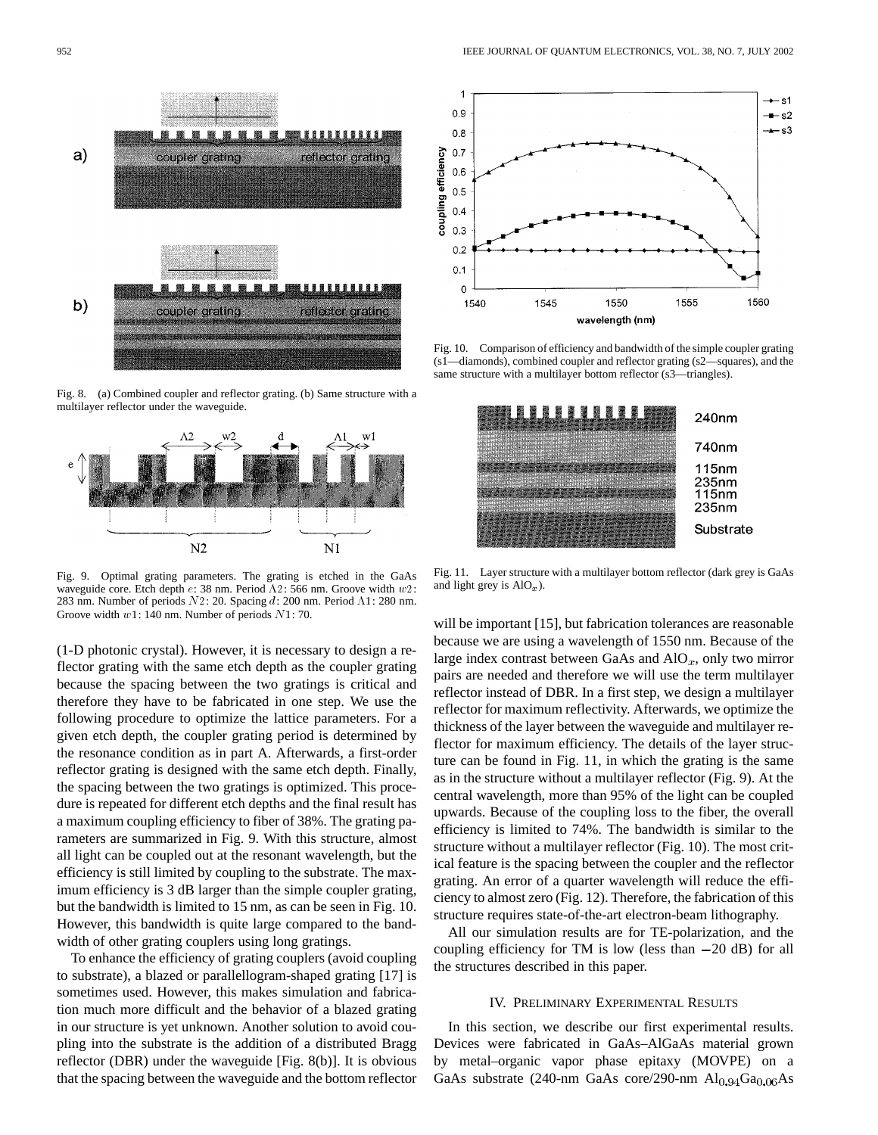

Fig. 8. (a) Combined coupler and reflector grating. (b) Same structure with a multilayer reflector under the waveguide.



Fig. 9. Optimal grating parameters. The grating is etched in the GaAs waveguide core. Etch depth  $e$ : 38 nm. Period  $\Lambda$ 2: 566 nm. Groove width  $w$ 2: 283 nm. Number of periods  $N2$ : 20. Spacing d: 200 nm. Period  $\Lambda$ 1: 280 nm. Groove width w1: 140 nm. Number of periods N1: 70.

(1-D photonic crystal). However, it is necessary to design a reflector grating with the same etch depth as the coupler grating because the spacing between the two gratings is critical and therefore they have to be fabricated in one step. We use the following procedure to optimize the lattice parameters. For a given etch depth, the coupler grating period is determined by the resonance condition as in part A. Afterwards, a first-order reflector grating is designed with the same etch depth. Finally, the spacing between the two gratings is optimized. This procedure is repeated for different etch depths and the final result has a maximum coupling efficiency to fiber of 38%. The grating parameters are summarized in Fig. 9. With this structure, almost all light can be coupled out at the resonant wavelength, but the efficiency is still limited by coupling to the substrate. The maximum efficiency is 3 dB larger than the simple coupler grating, but the bandwidth is limited to 15 nm, as can be seen in Fig. 10. However, this bandwidth is quite large compared to the bandwidth of other grating couplers using long gratings.

To enhance the efficiency of grating couplers (avoid coupling to substrate), a blazed or parallellogram-shaped grating [17] is sometimes used. However, this makes simulation and fabrication much more difficult and the behavior of a blazed grating in our structure is yet unknown. Another solution to avoid coupling into the substrate is the addition of a distributed Bragg reflector (DBR) under the waveguide [Fig. 8(b)]. It is obvious that the spacing between the waveguide and the bottom reflector



Fig. 10. Comparison of efficiency and bandwidth of the simple coupler grating (s1—diamonds), combined coupler and reflector grating (s2—squares), and the same structure with a multilayer bottom reflector (s3—triangles).



Fig. 11. Layer structure with a multilayer bottom reflector (dark grey is GaAs and light grey is  $AIO_x$ ).

will be important [15], but fabrication tolerances are reasonable because we are using a wavelength of 1550 nm. Because of the large index contrast between GaAs and  $\text{AlO}_x$ , only two mirror pairs are needed and therefore we will use the term multilayer reflector instead of DBR. In a first step, we design a multilayer reflector for maximum reflectivity. Afterwards, we optimize the thickness of the layer between the waveguide and multilayer reflector for maximum efficiency. The details of the layer structure can be found in Fig. 11, in which the grating is the same as in the structure without a multilayer reflector (Fig. 9). At the central wavelength, more than 95% of the light can be coupled upwards. Because of the coupling loss to the fiber, the overall efficiency is limited to 74%. The bandwidth is similar to the structure without a multilayer reflector (Fig. 10). The most critical feature is the spacing between the coupler and the reflector grating. An error of a quarter wavelength will reduce the efficiency to almost zero (Fig. 12). Therefore, the fabrication of this structure requires state-of-the-art electron-beam lithography.

All our simulation results are for TE-polarization, and the coupling efficiency for TM is low (less than  $-20$  dB) for all the structures described in this paper.

# IV. PRELIMINARY EXPERIMENTAL RESULTS

In this section, we describe our first experimental results. Devices were fabricated in GaAs–AlGaAs material grown by metal–organic vapor phase epitaxy (MOVPE) on a GaAs substrate (240-nm GaAs core/290-nm  $Al<sub>0.94</sub>Ga<sub>0.06</sub>As$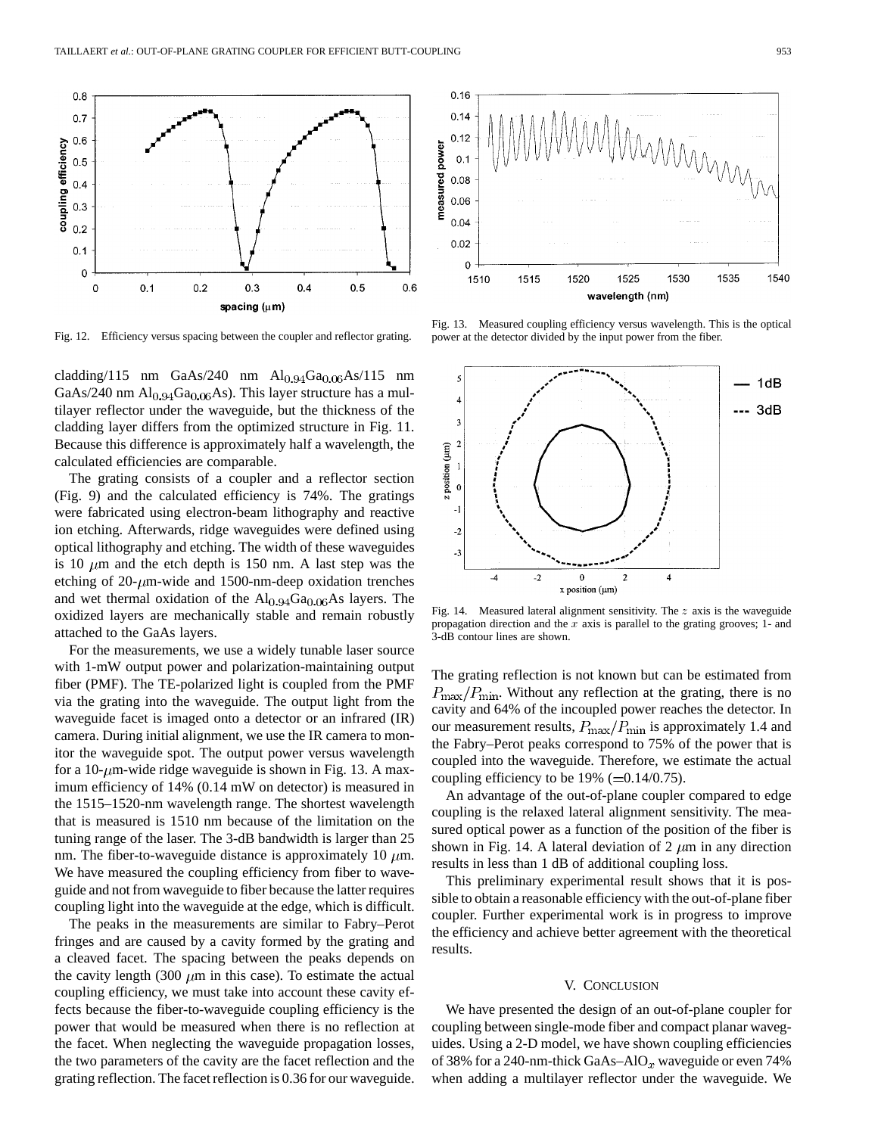

Fig. 12. Efficiency versus spacing between the coupler and reflector grating.

cladding/115 nm GaAs/240 nm  $\text{Al}_{0.94}\text{Ga}_{0.06}\text{As}/115$  nm GaAs/240 nm  $\text{Al}_{0.94}\text{Ga}_{0.06}\text{As}$ ). This layer structure has a multilayer reflector under the waveguide, but the thickness of the cladding layer differs from the optimized structure in Fig. 11. Because this difference is approximately half a wavelength, the calculated efficiencies are comparable.

The grating consists of a coupler and a reflector section (Fig. 9) and the calculated efficiency is 74%. The gratings were fabricated using electron-beam lithography and reactive ion etching. Afterwards, ridge waveguides were defined using optical lithography and etching. The width of these waveguides is 10  $\mu$ m and the etch depth is 150 nm. A last step was the etching of 20- $\mu$ m-wide and 1500-nm-deep oxidation trenches and wet thermal oxidation of the  $\text{Al}_{0.94}\text{Ga}_{0.06}\text{As}$  layers. The oxidized layers are mechanically stable and remain robustly attached to the GaAs layers.

For the measurements, we use a widely tunable laser source with 1-mW output power and polarization-maintaining output fiber (PMF). The TE-polarized light is coupled from the PMF via the grating into the waveguide. The output light from the waveguide facet is imaged onto a detector or an infrared (IR) camera. During initial alignment, we use the IR camera to monitor the waveguide spot. The output power versus wavelength for a 10- $\mu$ m-wide ridge waveguide is shown in Fig. 13. A maximum efficiency of 14% (0.14 mW on detector) is measured in the 1515–1520-nm wavelength range. The shortest wavelength that is measured is 1510 nm because of the limitation on the tuning range of the laser. The 3-dB bandwidth is larger than 25 nm. The fiber-to-waveguide distance is approximately 10  $\mu$ m. We have measured the coupling efficiency from fiber to waveguide and not from waveguide to fiber because the latter requires coupling light into the waveguide at the edge, which is difficult.

The peaks in the measurements are similar to Fabry–Perot fringes and are caused by a cavity formed by the grating and a cleaved facet. The spacing between the peaks depends on the cavity length (300  $\mu$ m in this case). To estimate the actual coupling efficiency, we must take into account these cavity effects because the fiber-to-waveguide coupling efficiency is the power that would be measured when there is no reflection at the facet. When neglecting the waveguide propagation losses, the two parameters of the cavity are the facet reflection and the grating reflection. The facet reflection is 0.36 for our waveguide.



Fig. 13. Measured coupling efficiency versus wavelength. This is the optical power at the detector divided by the input power from the fiber.



Fig. 14. Measured lateral alignment sensitivity. The z axis is the waveguide propagation direction and the  $x$  axis is parallel to the grating grooves; 1- and 3-dB contour lines are shown.

The grating reflection is not known but can be estimated from  $P_{\text{max}}/P_{\text{min}}$ . Without any reflection at the grating, there is no cavity and 64% of the incoupled power reaches the detector. In our measurement results,  $P_{\text{max}}/P_{\text{min}}$  is approximately 1.4 and the Fabry–Perot peaks correspond to 75% of the power that is coupled into the waveguide. Therefore, we estimate the actual coupling efficiency to be  $19\%$  (=0.14/0.75).

An advantage of the out-of-plane coupler compared to edge coupling is the relaxed lateral alignment sensitivity. The measured optical power as a function of the position of the fiber is shown in Fig. 14. A lateral deviation of 2  $\mu$ m in any direction results in less than 1 dB of additional coupling loss.

This preliminary experimental result shows that it is possible to obtain a reasonable efficiency with the out-of-plane fiber coupler. Further experimental work is in progress to improve the efficiency and achieve better agreement with the theoretical results.

# V. CONCLUSION

We have presented the design of an out-of-plane coupler for coupling between single-mode fiber and compact planar waveguides. Using a 2-D model, we have shown coupling efficiencies of 38% for a 240-nm-thick GaAs–AlO<sub>x</sub> waveguide or even 74% when adding a multilayer reflector under the waveguide. We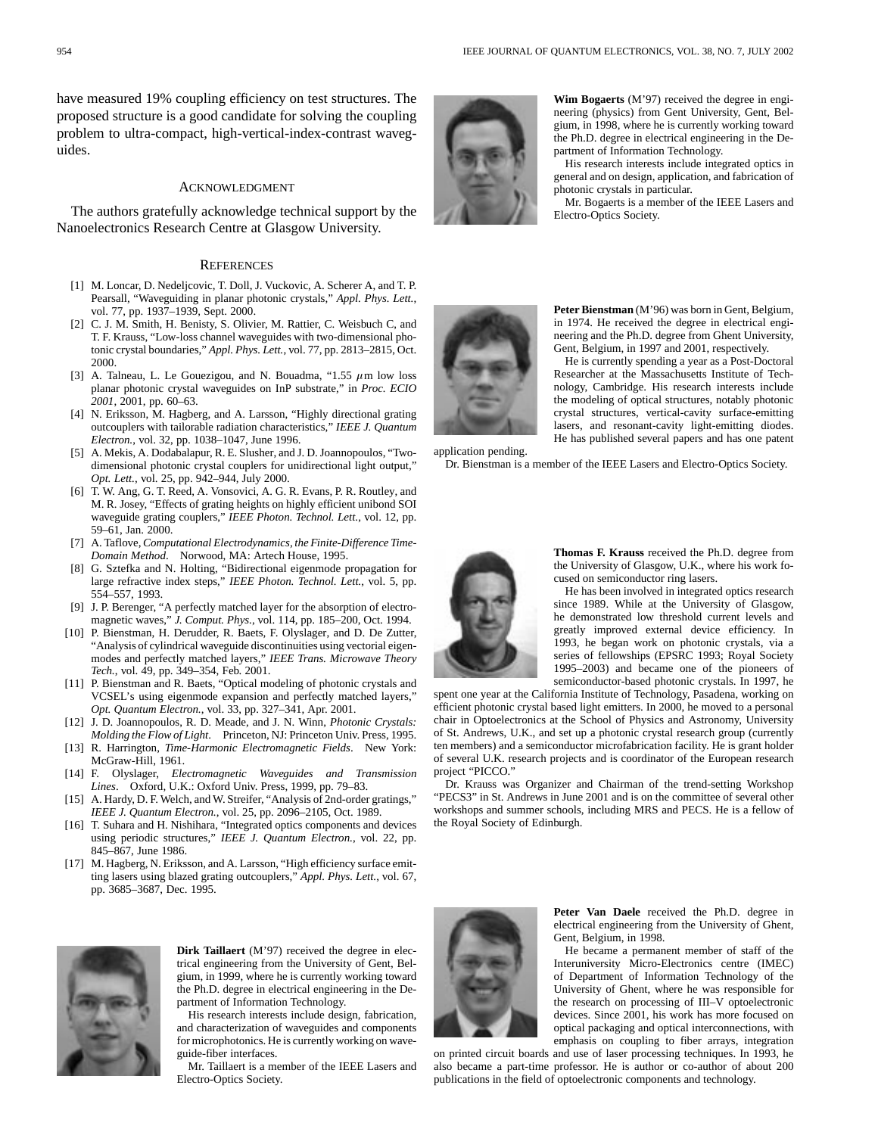have measured 19% coupling efficiency on test structures. The proposed structure is a good candidate for solving the coupling problem to ultra-compact, high-vertical-index-contrast waveguides.

#### ACKNOWLEDGMENT

The authors gratefully acknowledge technical support by the Nanoelectronics Research Centre at Glasgow University.

#### **REFERENCES**

- [1] M. Loncar, D. Nedeljcovic, T. Doll, J. Vuckovic, A. Scherer A, and T. P. Pearsall, "Waveguiding in planar photonic crystals," *Appl. Phys. Lett.*, vol. 77, pp. 1937–1939, Sept. 2000.
- [2] C. J. M. Smith, H. Benisty, S. Olivier, M. Rattier, C. Weisbuch C, and T. F. Krauss, "Low-loss channel waveguides with two-dimensional photonic crystal boundaries," *Appl. Phys. Lett.*, vol. 77, pp. 2813–2815, Oct. 2000.
- [3] A. Talneau, L. Le Gouezigou, and N. Bouadma, "1.55  $\mu$ m low loss planar photonic crystal waveguides on InP substrate," in *Proc. ECIO 2001*, 2001, pp. 60–63.
- [4] N. Eriksson, M. Hagberg, and A. Larsson, "Highly directional grating outcouplers with tailorable radiation characteristics," *IEEE J. Quantum Electron.*, vol. 32, pp. 1038–1047, June 1996.
- [5] A. Mekis, A. Dodabalapur, R. E. Slusher, and J. D. Joannopoulos, "Twodimensional photonic crystal couplers for unidirectional light output," *Opt. Lett.*, vol. 25, pp. 942–944, July 2000.
- [6] T. W. Ang, G. T. Reed, A. Vonsovici, A. G. R. Evans, P. R. Routley, and M. R. Josey, "Effects of grating heights on highly efficient unibond SOI waveguide grating couplers," *IEEE Photon. Technol. Lett.*, vol. 12, pp. 59–61, Jan. 2000.
- [7] A. Taflove, *Computational Electrodynamics, the Finite-Difference Time-Domain Method*. Norwood, MA: Artech House, 1995.
- [8] G. Sztefka and N. Holting, "Bidirectional eigenmode propagation for large refractive index steps," *IEEE Photon. Technol. Lett.*, vol. 5, pp. 554–557, 1993.
- [9] J. P. Berenger, "A perfectly matched layer for the absorption of electromagnetic waves," *J. Comput. Phys.*, vol. 114, pp. 185–200, Oct. 1994.
- [10] P. Bienstman, H. Derudder, R. Baets, F. Olyslager, and D. De Zutter, "Analysis of cylindrical waveguide discontinuities using vectorial eigenmodes and perfectly matched layers," *IEEE Trans. Microwave Theory Tech.*, vol. 49, pp. 349–354, Feb. 2001.
- [11] P. Bienstman and R. Baets, "Optical modeling of photonic crystals and VCSEL's using eigenmode expansion and perfectly matched layers," *Opt. Quantum Electron.*, vol. 33, pp. 327–341, Apr. 2001.
- [12] J. D. Joannopoulos, R. D. Meade, and J. N. Winn, *Photonic Crystals: Molding the Flow of Light*. Princeton, NJ: Princeton Univ. Press, 1995.
- [13] R. Harrington, *Time-Harmonic Electromagnetic Fields*. New York: McGraw-Hill, 1961.
- [14] F. Olyslager, *Electromagnetic Waveguides and Transmission Lines*. Oxford, U.K.: Oxford Univ. Press, 1999, pp. 79–83.
- [15] A. Hardy, D. F. Welch, and W. Streifer, "Analysis of 2nd-order gratings," *IEEE J. Quantum Electron.*, vol. 25, pp. 2096–2105, Oct. 1989.
- [16] T. Suhara and H. Nishihara, "Integrated optics components and devices using periodic structures," *IEEE J. Quantum Electron.*, vol. 22, pp. 845–867, June 1986.
- [17] M. Hagberg, N. Eriksson, and A. Larsson, "High efficiency surface emitting lasers using blazed grating outcouplers," *Appl. Phys. Lett.*, vol. 67, pp. 3685–3687, Dec. 1995.



**Dirk Taillaert** (M'97) received the degree in electrical engineering from the University of Gent, Belgium, in 1999, where he is currently working toward the Ph.D. degree in electrical engineering in the Department of Information Technology.

His research interests include design, fabrication, and characterization of waveguides and components for microphotonics. He is currently working on waveguide-fiber interfaces.

Mr. Taillaert is a member of the IEEE Lasers and Electro-Optics Society.



**Wim Bogaerts** (M'97) received the degree in engineering (physics) from Gent University, Gent, Belgium, in 1998, where he is currently working toward the Ph.D. degree in electrical engineering in the Department of Information Technology.

His research interests include integrated optics in general and on design, application, and fabrication of photonic crystals in particular.

Mr. Bogaerts is a member of the IEEE Lasers and Electro-Optics Society.



**Peter Bienstman** (M'96) was born in Gent, Belgium, in 1974. He received the degree in electrical engineering and the Ph.D. degree from Ghent University, Gent, Belgium, in 1997 and 2001, respectively.

He is currently spending a year as a Post-Doctoral Researcher at the Massachusetts Institute of Technology, Cambridge. His research interests include the modeling of optical structures, notably photonic crystal structures, vertical-cavity surface-emitting lasers, and resonant-cavity light-emitting diodes. He has published several papers and has one patent

application pending.

Dr. Bienstman is a member of the IEEE Lasers and Electro-Optics Society.



**Thomas F. Krauss** received the Ph.D. degree from the University of Glasgow, U.K., where his work focused on semiconductor ring lasers.

He has been involved in integrated optics research since 1989. While at the University of Glasgow, he demonstrated low threshold current levels and greatly improved external device efficiency. In 1993, he began work on photonic crystals, via a series of fellowships (EPSRC 1993; Royal Society 1995–2003) and became one of the pioneers of semiconductor-based photonic crystals. In 1997, he

spent one year at the California Institute of Technology, Pasadena, working on efficient photonic crystal based light emitters. In 2000, he moved to a personal chair in Optoelectronics at the School of Physics and Astronomy, University of St. Andrews, U.K., and set up a photonic crystal research group (currently ten members) and a semiconductor microfabrication facility. He is grant holder of several U.K. research projects and is coordinator of the European research project "PICCO."

Dr. Krauss was Organizer and Chairman of the trend-setting Workshop "PECS3" in St. Andrews in June 2001 and is on the committee of several other workshops and summer schools, including MRS and PECS. He is a fellow of the Royal Society of Edinburgh.



**Peter Van Daele** received the Ph.D. degree in electrical engineering from the University of Ghent, Gent, Belgium, in 1998.

He became a permanent member of staff of the Interuniversity Micro-Electronics centre (IMEC) of Department of Information Technology of the University of Ghent, where he was responsible for the research on processing of III–V optoelectronic devices. Since 2001, his work has more focused on optical packaging and optical interconnections, with emphasis on coupling to fiber arrays, integration

on printed circuit boards and use of laser processing techniques. In 1993, he also became a part-time professor. He is author or co-author of about 200 publications in the field of optoelectronic components and technology.